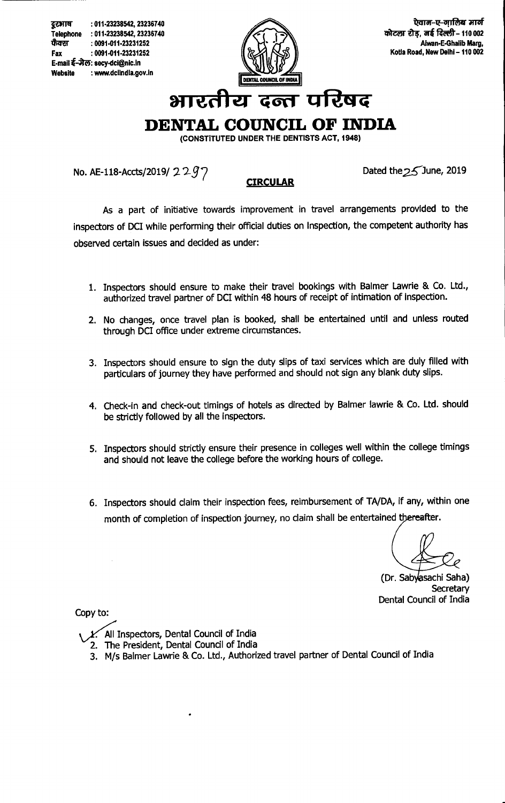



<u>रेवान-ए-गालिब भार्ग</u> **कोटला रोड, बई दिल्ली - 110 002 Aiwan-E-Ghalib Marg, Kotla Road, New Delhi - 110 002** 

**au-e—dter .4 -q Rei 4** 

## **DENTAL COUNCIL OF INDIA**

**(CONSTITUTED UNDER THE DENTISTS ACT, 1948)** 

No. AE-118-Accts/2019/ 2 2 9 7 **Dated the 25** June, 2019

## **CIRCULAR**

As a part of initiative towards improvement in travel arrangements provided to the inspectors of DCI while performing their official duties on inspection, the competent authority has observed certain issues and decided as under:

- 1. Inspectors should ensure to make their travel bookings with Balmer Lawrie & Co. Ltd., authorized travel partner of DCI within 48 hours of receipt of intimation of inspection.
- 2. No changes, once travel plan is booked, shall be entertained until and unless routed through DCI office under extreme circumstances.
- 3. Inspectors should ensure to sign the duty slips of taxi services which are duly filled with particulars of journey they have performed and should not sign any blank duty slips.
- 4. Check-in and check-out timings of hotels as directed by Balmer lawrie & Co. Ltd. should be strictly followed by all the inspectors.
- 5. Inspectors should strictly ensure their presence in colleges well within the college timings and should not leave the college before the working hours of college.
- 6. Inspectors should claim their inspection fees, reimbursement of TA/DA, if any, within one month of completion of inspection journey, no claim shall be entertained thereafter.

(Dr. Sabyasachi Saha) **Secretary** Dental Council of India

Copy to:

- All Inspectors, Dental Council of India
- 2. The President, Dental Council of India
- 3. M/s Balmer Lawrie & Co. Ltd., Authorized travel partner of Dental Council of India